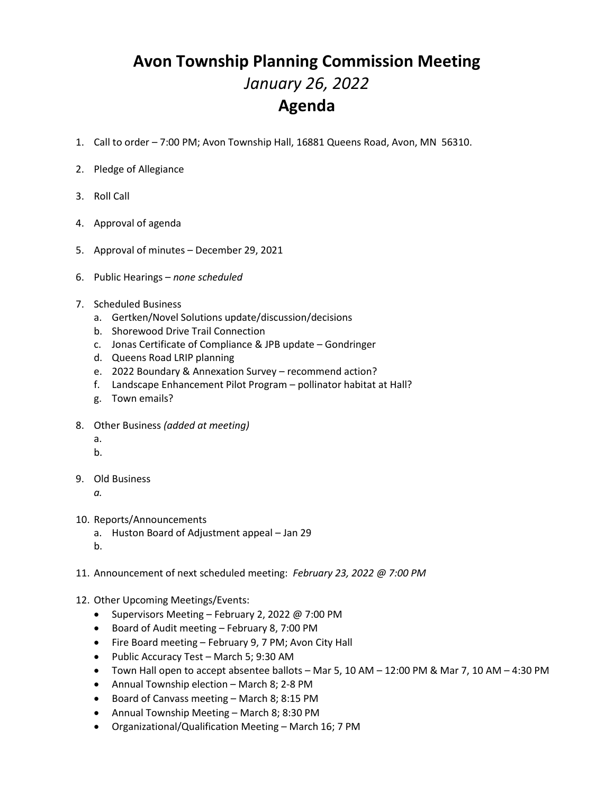## **Avon Township Planning Commission Meeting** *January 26, 2022* **Agenda**

- 1. Call to order 7:00 PM; Avon Township Hall, 16881 Queens Road, Avon, MN 56310.
- 2. Pledge of Allegiance
- 3. Roll Call
- 4. Approval of agenda
- 5. Approval of minutes December 29, 2021
- 6. Public Hearings *none scheduled*
- 7. Scheduled Business
	- a. Gertken/Novel Solutions update/discussion/decisions
	- b. Shorewood Drive Trail Connection
	- c. Jonas Certificate of Compliance & JPB update Gondringer
	- d. Queens Road LRIP planning
	- e. 2022 Boundary & Annexation Survey recommend action?
	- f. Landscape Enhancement Pilot Program pollinator habitat at Hall?
	- g. Town emails?
- 8. Other Business *(added at meeting)*
	- a. b.
- 
- 9. Old Business
	- *a.*
- 10. Reports/Announcements
	- a. Huston Board of Adjustment appeal Jan 29
	- b.
- 11. Announcement of next scheduled meeting: *February 23, 2022 @ 7:00 PM*
- 12. Other Upcoming Meetings/Events:
	- Supervisors Meeting February 2, 2022 @ 7:00 PM
	- Board of Audit meeting February 8, 7:00 PM
	- Fire Board meeting February 9, 7 PM; Avon City Hall
	- Public Accuracy Test March 5; 9:30 AM
	- Town Hall open to accept absentee ballots Mar 5, 10 AM 12:00 PM & Mar 7, 10 AM 4:30 PM
	- Annual Township election March 8; 2-8 PM
	- Board of Canvass meeting March 8; 8:15 PM
	- Annual Township Meeting March 8; 8:30 PM
	- Organizational/Qualification Meeting March 16; 7 PM